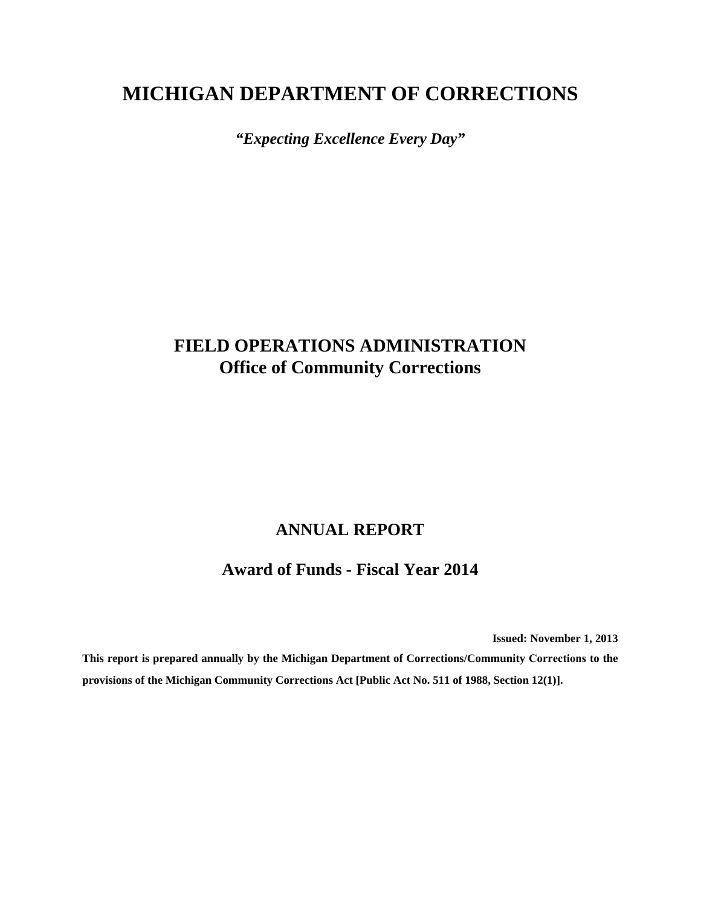# **MICHIGAN DEPARTMENT OF CORRECTIONS**

*"Expecting Excellence Every Day"*

# **FIELD OPERATIONS ADMINISTRATION Office of Community Corrections**

## **ANNUAL REPORT**

### **Award of Funds - Fiscal Year 2014**

**Issued: November 1, 2013**

**This report is prepared annually by the Michigan Department of Corrections/Community Corrections to the provisions of the Michigan Community Corrections Act [Public Act No. 511 of 1988, Section 12(1)].**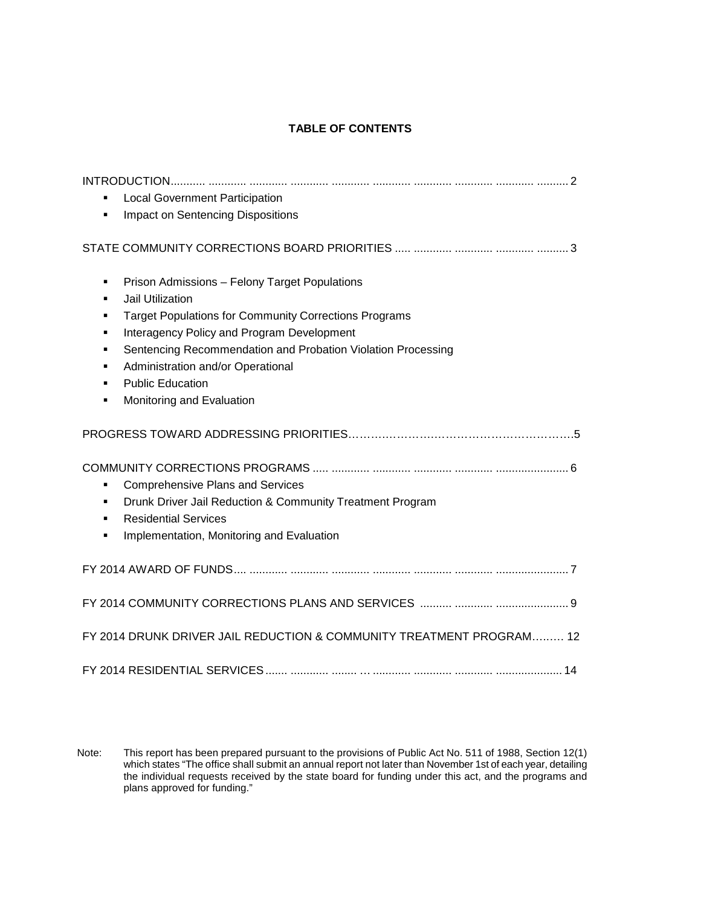### **TABLE OF CONTENTS**

| <b>Local Government Participation</b><br>Impact on Sentencing Dispositions<br>٠                                                                                                                                                                                                                                                                                       |
|-----------------------------------------------------------------------------------------------------------------------------------------------------------------------------------------------------------------------------------------------------------------------------------------------------------------------------------------------------------------------|
|                                                                                                                                                                                                                                                                                                                                                                       |
| Prison Admissions - Felony Target Populations<br>٠<br>Jail Utilization<br>٠<br><b>Target Populations for Community Corrections Programs</b><br>٠<br>Interagency Policy and Program Development<br>٠<br>Sentencing Recommendation and Probation Violation Processing<br>٠<br>Administration and/or Operational<br><b>Public Education</b><br>Monitoring and Evaluation |
|                                                                                                                                                                                                                                                                                                                                                                       |
| <b>Comprehensive Plans and Services</b><br>٠<br>Drunk Driver Jail Reduction & Community Treatment Program<br><b>Residential Services</b><br>٠<br>Implementation, Monitoring and Evaluation<br>٠                                                                                                                                                                       |
|                                                                                                                                                                                                                                                                                                                                                                       |
|                                                                                                                                                                                                                                                                                                                                                                       |
| FY 2014 DRUNK DRIVER JAIL REDUCTION & COMMUNITY TREATMENT PROGRAM 12                                                                                                                                                                                                                                                                                                  |
|                                                                                                                                                                                                                                                                                                                                                                       |

Note: This report has been prepared pursuant to the provisions of Public Act No. 511 of 1988, Section 12(1) which states "The office shall submit an annual report not later than November 1st of each year, detailing the individual requests received by the state board for funding under this act, and the programs and plans approved for funding."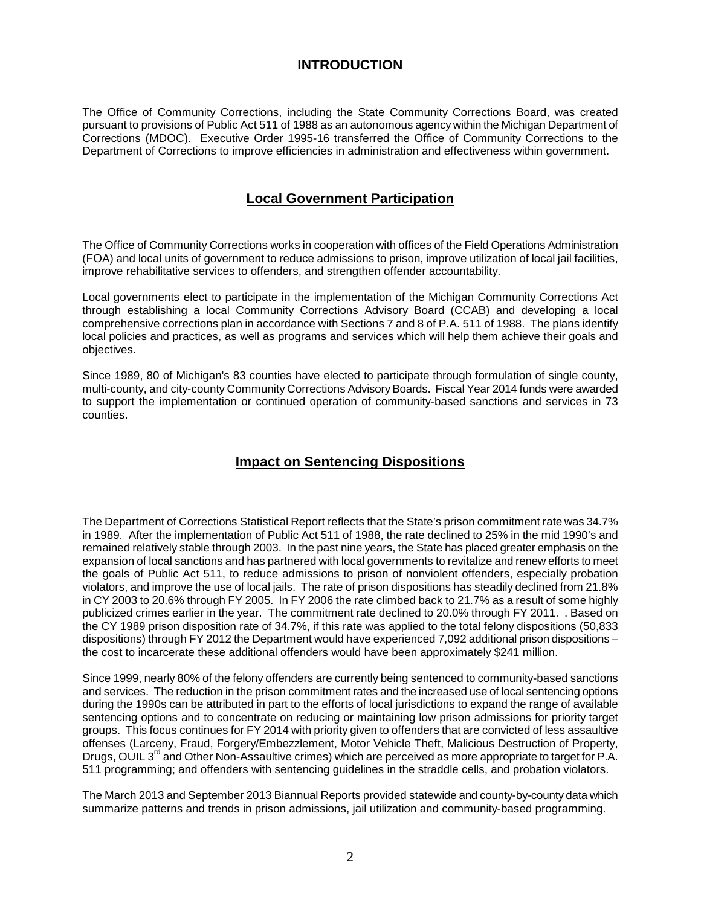### **INTRODUCTION**

The Office of Community Corrections, including the State Community Corrections Board, was created pursuant to provisions of Public Act 511 of 1988 as an autonomous agency within the Michigan Department of Corrections (MDOC). Executive Order 1995-16 transferred the Office of Community Corrections to the Department of Corrections to improve efficiencies in administration and effectiveness within government.

### **Local Government Participation**

The Office of Community Corrections works in cooperation with offices of the Field Operations Administration (FOA) and local units of government to reduce admissions to prison, improve utilization of local jail facilities, improve rehabilitative services to offenders, and strengthen offender accountability.

Local governments elect to participate in the implementation of the Michigan Community Corrections Act through establishing a local Community Corrections Advisory Board (CCAB) and developing a local comprehensive corrections plan in accordance with Sections 7 and 8 of P.A. 511 of 1988. The plans identify local policies and practices, as well as programs and services which will help them achieve their goals and objectives.

Since 1989, 80 of Michigan's 83 counties have elected to participate through formulation of single county, multi-county, and city-county Community Corrections Advisory Boards. Fiscal Year 2014 funds were awarded to support the implementation or continued operation of community-based sanctions and services in 73 counties.

### **Impact on Sentencing Dispositions**

The Department of Corrections Statistical Report reflects that the State's prison commitment rate was 34.7% in 1989. After the implementation of Public Act 511 of 1988, the rate declined to 25% in the mid 1990's and remained relatively stable through 2003. In the past nine years, the State has placed greater emphasis on the expansion of local sanctions and has partnered with local governments to revitalize and renew efforts to meet the goals of Public Act 511, to reduce admissions to prison of nonviolent offenders, especially probation violators, and improve the use of local jails. The rate of prison dispositions has steadily declined from 21.8% in CY 2003 to 20.6% through FY 2005. In FY 2006 the rate climbed back to 21.7% as a result of some highly publicized crimes earlier in the year. The commitment rate declined to 20.0% through FY 2011. . Based on the CY 1989 prison disposition rate of 34.7%, if this rate was applied to the total felony dispositions (50,833 dispositions) through FY 2012 the Department would have experienced 7,092 additional prison dispositions – the cost to incarcerate these additional offenders would have been approximately \$241 million.

Since 1999, nearly 80% of the felony offenders are currently being sentenced to community-based sanctions and services. The reduction in the prison commitment rates and the increased use of local sentencing options during the 1990s can be attributed in part to the efforts of local jurisdictions to expand the range of available sentencing options and to concentrate on reducing or maintaining low prison admissions for priority target groups. This focus continues for FY 2014 with priority given to offenders that are convicted of less assaultive offenses (Larceny, Fraud, Forgery/Embezzlement, Motor Vehicle Theft, Malicious Destruction of Property, Drugs, OUIL 3<sup>rd</sup> and Other Non-Assaultive crimes) which are perceived as more appropriate to target for P.A. 511 programming; and offenders with sentencing guidelines in the straddle cells, and probation violators.

The March 2013 and September 2013 Biannual Reports provided statewide and county-by-county data which summarize patterns and trends in prison admissions, jail utilization and community-based programming.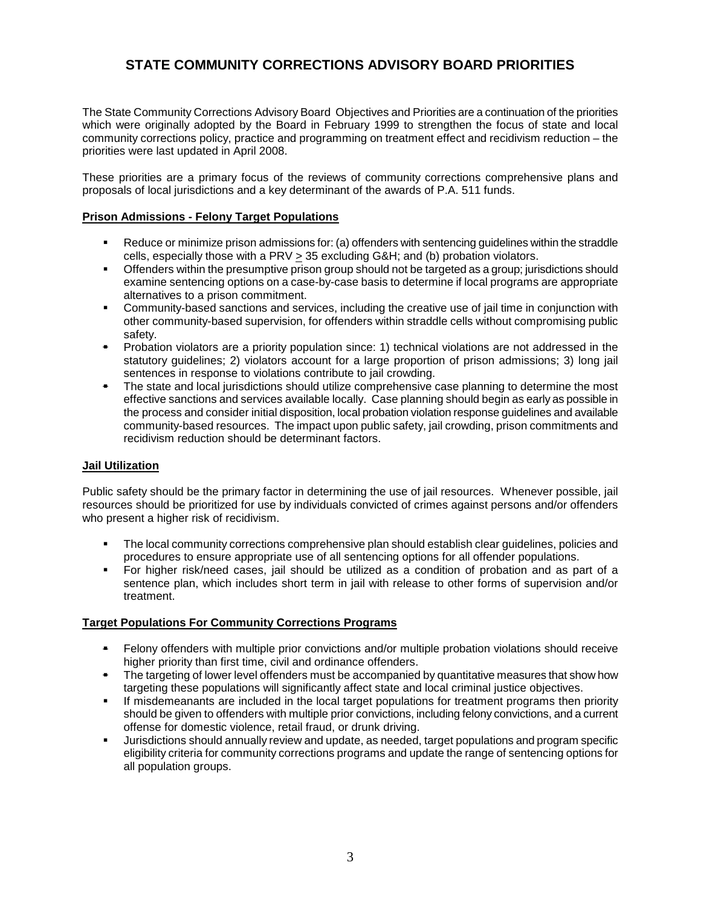### **STATE COMMUNITY CORRECTIONS ADVISORY BOARD PRIORITIES**

The State Community Corrections Advisory Board Objectives and Priorities are a continuation of the priorities which were originally adopted by the Board in February 1999 to strengthen the focus of state and local community corrections policy, practice and programming on treatment effect and recidivism reduction – the priorities were last updated in April 2008.

These priorities are a primary focus of the reviews of community corrections comprehensive plans and proposals of local jurisdictions and a key determinant of the awards of P.A. 511 funds.

#### **Prison Admissions - Felony Target Populations**

- Reduce or minimize prison admissions for: (a) offenders with sentencing guidelines within the straddle cells, especially those with a PRV > 35 excluding G&H; and (b) probation violators.
- **Communisty Consensulate State is not prospect** of the proton of the targeted as a group; jurisdictions should in the presumption should examine sentencing options on a case-by-case basis to determine if local programs are appropriate alternatives to a prison commitment.
- Community-based sanctions and services, including the creative use of jail time in conjunction with other community-based supervision, for offenders within straddle cells without compromising public safety.
- Probation violators are a priority population since: 1) technical violations are not addressed in the statutory guidelines; 2) violators account for a large proportion of prison admissions; 3) long jail sentences in response to violations contribute to jail crowding.
- The state and local jurisdictions should utilize comprehensive case planning to determine the most effective sanctions and services available locally. Case planning should begin as early as possible in the process and consider initial disposition, local probation violation response guidelines and available community-based resources. The impact upon public safety, jail crowding, prison commitments and recidivism reduction should be determinant factors.

#### **Jail Utilization**

Public safety should be the primary factor in determining the use of jail resources. Whenever possible, jail resources should be prioritized for use by individuals convicted of crimes against persons and/or offenders who present a higher risk of recidivism.

- **The local community corrections comprehensive plan should establish clear guidelines, policies and** procedures to ensure appropriate use of all sentencing options for all offender populations.
- For higher risk/need cases, jail should be utilized as a condition of probation and as part of a sentence plan, which includes short term in jail with release to other forms of supervision and/or treatment.

#### **Target Populations For Community Corrections Programs**

- Felony offenders with multiple prior convictions and/or multiple probation violations should receive higher priority than first time, civil and ordinance offenders.
- The targeting of lower level offenders must be accompanied by quantitative measures that show how targeting these populations will significantly affect state and local criminal justice objectives.
- If misdemeanants are included in the local target populations for treatment programs then priority should be given to offenders with multiple prior convictions, including felony convictions, and a current offense for domestic violence, retail fraud, or drunk driving.
- Jurisdictions should annually review and update, as needed, target populations and program specific eligibility criteria for community corrections programs and update the range of sentencing options for all population groups.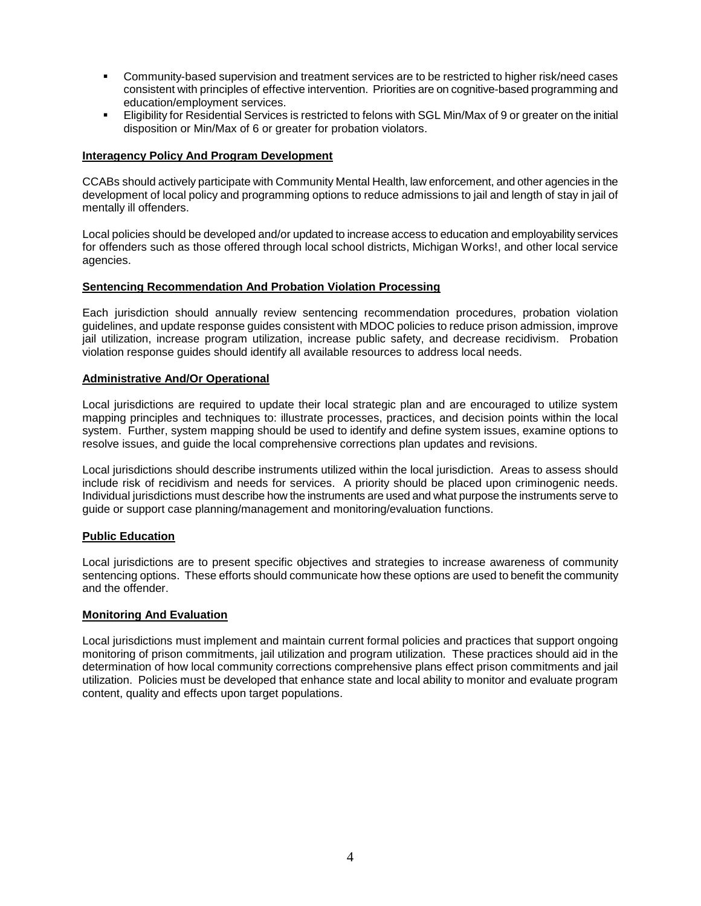- Community-based supervision and treatment services are to be restricted to higher risk/need cases consistent with principles of effective intervention. Priorities are on cognitive-based programming and education/employment services.
- Eligibility for Residential Services is restricted to felons with SGL Min/Max of 9 or greater on the initial disposition or Min/Max of 6 or greater for probation violators.

#### **Interagency Policy And Program Development**

CCABs should actively participate with Community Mental Health, law enforcement, and other agencies in the development of local policy and programming options to reduce admissions to jail and length of stay in jail of mentally ill offenders.

Local policies should be developed and/or updated to increase access to education and employability services for offenders such as those offered through local school districts, Michigan Works!, and other local service agencies.

#### **Sentencing Recommendation And Probation Violation Processing**

Each jurisdiction should annually review sentencing recommendation procedures, probation violation guidelines, and update response guides consistent with MDOC policies to reduce prison admission, improve jail utilization, increase program utilization, increase public safety, and decrease recidivism. Probation violation response guides should identify all available resources to address local needs.

#### **Administrative And/Or Operational**

Local jurisdictions are required to update their local strategic plan and are encouraged to utilize system mapping principles and techniques to: illustrate processes, practices, and decision points within the local system. Further, system mapping should be used to identify and define system issues, examine options to resolve issues, and guide the local comprehensive corrections plan updates and revisions.

Local jurisdictions should describe instruments utilized within the local jurisdiction. Areas to assess should include risk of recidivism and needs for services. A priority should be placed upon criminogenic needs. Individual jurisdictions must describe how the instruments are used and what purpose the instruments serve to guide or support case planning/management and monitoring/evaluation functions.

#### **Public Education**

Local jurisdictions are to present specific objectives and strategies to increase awareness of community sentencing options. These efforts should communicate how these options are used to benefit the community and the offender.

#### **Monitoring And Evaluation**

Local jurisdictions must implement and maintain current formal policies and practices that support ongoing monitoring of prison commitments, jail utilization and program utilization. These practices should aid in the determination of how local community corrections comprehensive plans effect prison commitments and jail utilization. Policies must be developed that enhance state and local ability to monitor and evaluate program content, quality and effects upon target populations.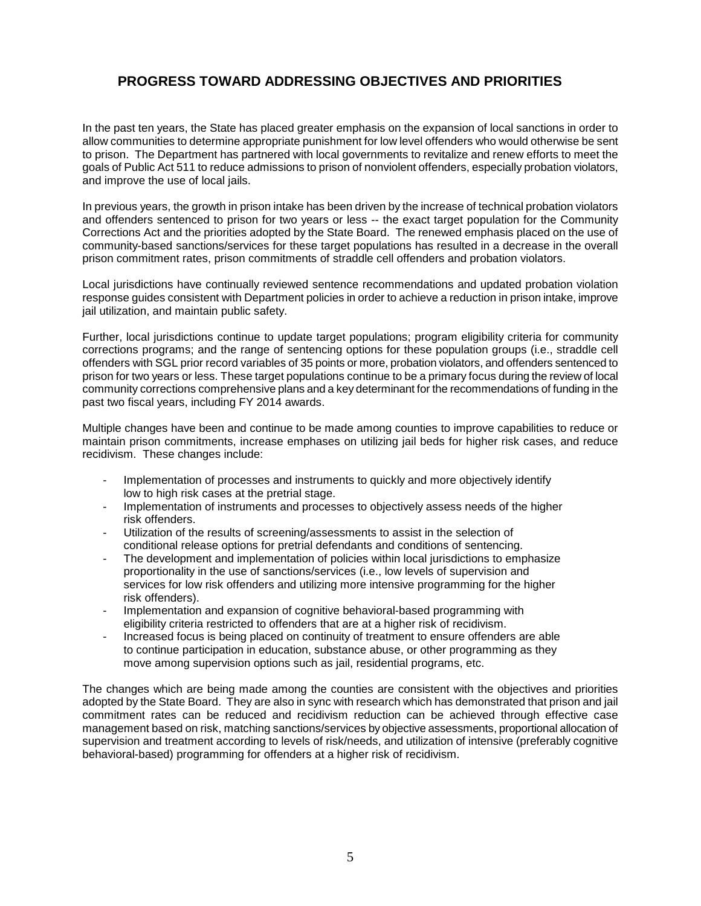### **PROGRESS TOWARD ADDRESSING OBJECTIVES AND PRIORITIES**

In the past ten years, the State has placed greater emphasis on the expansion of local sanctions in order to allow communities to determine appropriate punishment for low level offenders who would otherwise be sent to prison. The Department has partnered with local governments to revitalize and renew efforts to meet the goals of Public Act 511 to reduce admissions to prison of nonviolent offenders, especially probation violators, and improve the use of local jails.

In previous years, the growth in prison intake has been driven by the increase of technical probation violators and offenders sentenced to prison for two years or less -- the exact target population for the Community Corrections Act and the priorities adopted by the State Board. The renewed emphasis placed on the use of community-based sanctions/services for these target populations has resulted in a decrease in the overall prison commitment rates, prison commitments of straddle cell offenders and probation violators.

Local jurisdictions have continually reviewed sentence recommendations and updated probation violation response guides consistent with Department policies in order to achieve a reduction in prison intake, improve jail utilization, and maintain public safety.

Further, local jurisdictions continue to update target populations; program eligibility criteria for community corrections programs; and the range of sentencing options for these population groups (i.e., straddle cell offenders with SGL prior record variables of 35 points or more, probation violators, and offenders sentenced to prison for two years or less. These target populations continue to be a primary focus during the review of local community corrections comprehensive plans and a key determinant for the recommendations of funding in the past two fiscal years, including FY 2014 awards.

Multiple changes have been and continue to be made among counties to improve capabilities to reduce or maintain prison commitments, increase emphases on utilizing jail beds for higher risk cases, and reduce recidivism. These changes include:

- Implementation of processes and instruments to quickly and more objectively identify low to high risk cases at the pretrial stage.
- Implementation of instruments and processes to objectively assess needs of the higher risk offenders.
- Utilization of the results of screening/assessments to assist in the selection of conditional release options for pretrial defendants and conditions of sentencing.
- The development and implementation of policies within local jurisdictions to emphasize proportionality in the use of sanctions/services (i.e., low levels of supervision and services for low risk offenders and utilizing more intensive programming for the higher risk offenders).
- Implementation and expansion of cognitive behavioral-based programming with eligibility criteria restricted to offenders that are at a higher risk of recidivism.
- Increased focus is being placed on continuity of treatment to ensure offenders are able to continue participation in education, substance abuse, or other programming as they move among supervision options such as jail, residential programs, etc.

The changes which are being made among the counties are consistent with the objectives and priorities adopted by the State Board. They are also in sync with research which has demonstrated that prison and jail commitment rates can be reduced and recidivism reduction can be achieved through effective case management based on risk, matching sanctions/services by objective assessments, proportional allocation of supervision and treatment according to levels of risk/needs, and utilization of intensive (preferably cognitive behavioral-based) programming for offenders at a higher risk of recidivism.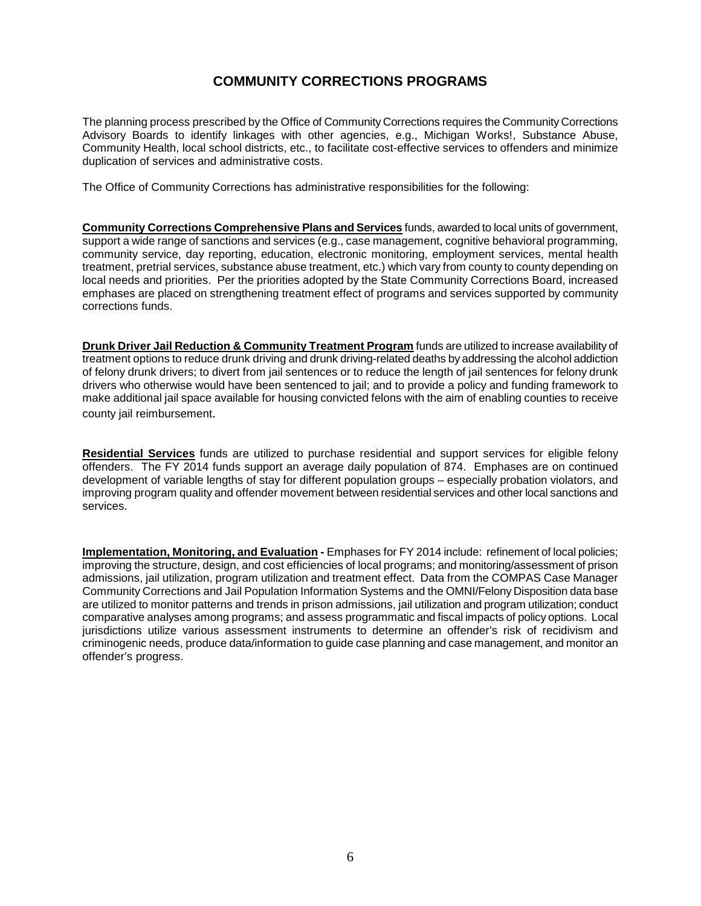### **COMMUNITY CORRECTIONS PROGRAMS**

The planning process prescribed by the Office of Community Corrections requires the Community Corrections Advisory Boards to identify linkages with other agencies, e.g., Michigan Works!, Substance Abuse, Community Health, local school districts, etc., to facilitate cost-effective services to offenders and minimize duplication of services and administrative costs.

The Office of Community Corrections has administrative responsibilities for the following:

**Community Corrections Comprehensive Plans and Services** funds, awarded to local units of government, support a wide range of sanctions and services (e.g., case management, cognitive behavioral programming, community service, day reporting, education, electronic monitoring, employment services, mental health treatment, pretrial services, substance abuse treatment, etc.) which vary from county to county depending on local needs and priorities. Per the priorities adopted by the State Community Corrections Board, increased emphases are placed on strengthening treatment effect of programs and services supported by community corrections funds.

**Drunk Driver Jail Reduction & Community Treatment Program** funds are utilized to increase availability of treatment options to reduce drunk driving and drunk driving-related deaths by addressing the alcohol addiction of felony drunk drivers; to divert from jail sentences or to reduce the length of jail sentences for felony drunk drivers who otherwise would have been sentenced to jail; and to provide a policy and funding framework to make additional jail space available for housing convicted felons with the aim of enabling counties to receive county jail reimbursement.

**Residential Services** funds are utilized to purchase residential and support services for eligible felony offenders. The FY 2014 funds support an average daily population of 874. Emphases are on continued development of variable lengths of stay for different population groups – especially probation violators, and improving program quality and offender movement between residential services and other local sanctions and services.

**Implementation, Monitoring, and Evaluation -** Emphases for FY 2014 include: refinement of local policies; improving the structure, design, and cost efficiencies of local programs; and monitoring/assessment of prison admissions, jail utilization, program utilization and treatment effect. Data from the COMPAS Case Manager Community Corrections and Jail Population Information Systems and the OMNI/Felony Disposition data base are utilized to monitor patterns and trends in prison admissions, jail utilization and program utilization; conduct comparative analyses among programs; and assess programmatic and fiscal impacts of policy options. Local jurisdictions utilize various assessment instruments to determine an offender's risk of recidivism and criminogenic needs, produce data/information to guide case planning and case management, and monitor an offender's progress.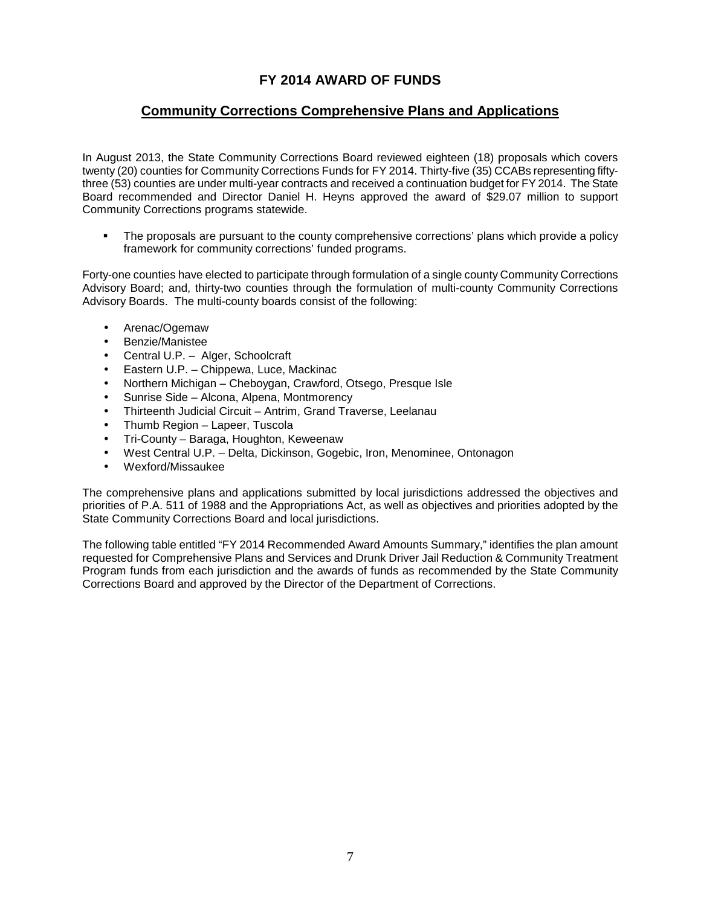### **FY 2014 AWARD OF FUNDS**

### **Community Corrections Comprehensive Plans and Applications**

In August 2013, the State Community Corrections Board reviewed eighteen (18) proposals which covers twenty (20) counties for Community Corrections Funds for FY 2014. Thirty-five (35) CCABs representing fiftythree (53) counties are under multi-year contracts and received a continuation budget for FY 2014. The State Board recommended and Director Daniel H. Heyns approved the award of \$29.07 million to support Community Corrections programs statewide.

• The proposals are pursuant to the county comprehensive corrections' plans which provide a policy framework for community corrections' funded programs.

Forty-one counties have elected to participate through formulation of a single county Community Corrections Advisory Board; and, thirty-two counties through the formulation of multi-county Community Corrections Advisory Boards. The multi-county boards consist of the following:

- Arenac/Ogemaw
- Benzie/Manistee
- Central U.P. Alger, Schoolcraft
- Eastern U.P. Chippewa, Luce, Mackinac
- Northern Michigan Cheboygan, Crawford, Otsego, Presque Isle
- Sunrise Side Alcona, Alpena, Montmorency
- Thirteenth Judicial Circuit Antrim, Grand Traverse, Leelanau
- Thumb Region Lapeer, Tuscola
- Tri-County Baraga, Houghton, Keweenaw
- West Central U.P. Delta, Dickinson, Gogebic, Iron, Menominee, Ontonagon
- Wexford/Missaukee

The comprehensive plans and applications submitted by local jurisdictions addressed the objectives and priorities of P.A. 511 of 1988 and the Appropriations Act, as well as objectives and priorities adopted by the State Community Corrections Board and local jurisdictions.

The following table entitled "FY 2014 Recommended Award Amounts Summary," identifies the plan amount requested for Comprehensive Plans and Services and Drunk Driver Jail Reduction & Community Treatment Program funds from each jurisdiction and the awards of funds as recommended by the State Community Corrections Board and approved by the Director of the Department of Corrections.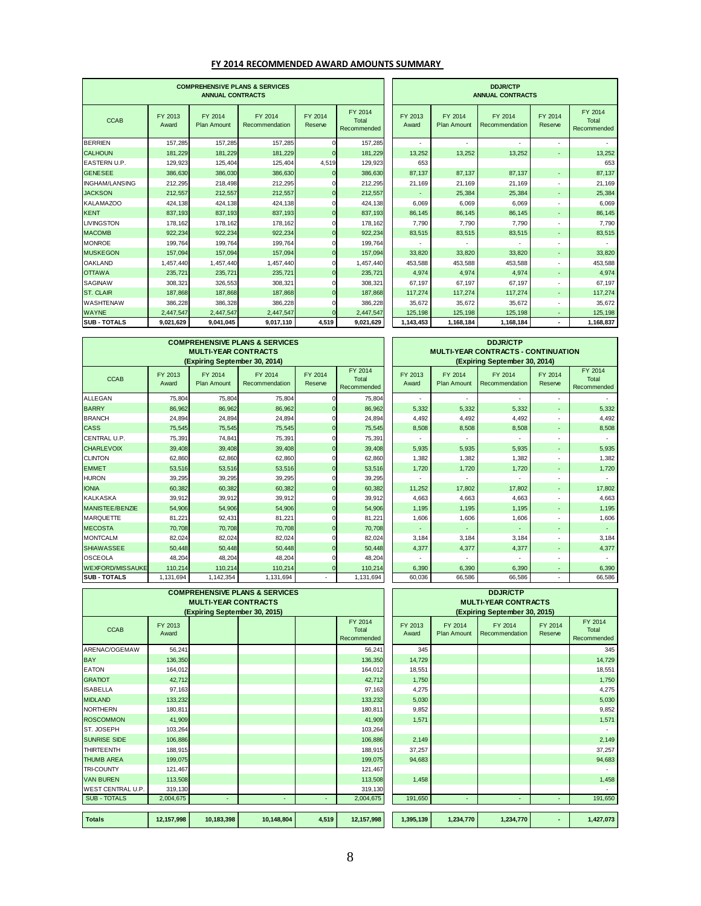#### **FY 2014 RECOMMENDED AWARD AMOUNTS SUMMARY**

| <b>COMPREHENSIVE PLANS &amp; SERVICES</b><br><b>ANNUAL CONTRACTS</b> |                  |                               |                           |                    |                                 |                  |                               | <b>DDJR/CTP</b><br><b>ANNUAL CONTRACTS</b> |                          |                                 |
|----------------------------------------------------------------------|------------------|-------------------------------|---------------------------|--------------------|---------------------------------|------------------|-------------------------------|--------------------------------------------|--------------------------|---------------------------------|
| <b>CCAB</b>                                                          | FY 2013<br>Award | FY 2014<br><b>Plan Amount</b> | FY 2014<br>Recommendation | FY 2014<br>Reserve | FY 2014<br>Total<br>Recommended | FY 2013<br>Award | FY 2014<br><b>Plan Amount</b> | FY 2014<br>Recommendation                  | FY 2014<br>Reserve       | FY 2014<br>Total<br>Recommended |
| <b>BERRIEN</b>                                                       | 157,285          | 157,285                       | 157,285                   |                    | 157,285                         |                  |                               |                                            | $\overline{a}$           |                                 |
| <b>CALHOUN</b>                                                       | 181,229          | 181,229                       | 181,229                   | $\Omega$           | 181,229                         | 13,252           | 13,252                        | 13,252                                     | ٠                        | 13,252                          |
| EASTERN U.P.                                                         | 129,923          | 125,404                       | 125,404                   | 4,519              | 129,923                         | 653              |                               |                                            |                          | 653                             |
| <b>GENESEE</b>                                                       | 386,630          | 386,030                       | 386,630                   |                    | 386,630                         | 87,137           | 87.137                        | 87.137                                     | ۰                        | 87,137                          |
| <b>IINGHAM/LANSING</b>                                               | 212.295          | 218,498                       | 212,295                   |                    | 212,295                         | 21,169           | 21,169                        | 21,169                                     | ٠                        | 21,169                          |
| <b>JACKSON</b>                                                       | 212,557          | 212,557                       | 212,557                   | $\Omega$           | 212,557                         |                  | 25,384                        | 25,384                                     | $\overline{\phantom{a}}$ | 25,384                          |
| <b>KALAMAZOO</b>                                                     | 424.138          | 424.138                       | 424.138                   |                    | 424,138                         | 6,069            | 6.069                         | 6,069                                      |                          | 6,069                           |
| <b>KENT</b>                                                          | 837.193          | 837.193                       | 837,193                   | $\Omega$           | 837,193                         | 86.145           | 86.145                        | 86.145                                     | ٠                        | 86,145                          |
| <b>LIVINGSTON</b>                                                    | 178.162          | 178,162                       | 178,162                   | n                  | 178,162                         | 7,790            | 7.790                         | 7,790                                      |                          | 7,790                           |
| <b>MACOMB</b>                                                        | 922,234          | 922,234                       | 922,234                   | $\Omega$           | 922,234                         | 83,515           | 83,515                        | 83,515                                     | ٠                        | 83,515                          |
| <b>MONROE</b>                                                        | 199.764          | 199.764                       | 199,764                   | n                  | 199,764                         |                  |                               |                                            |                          |                                 |
| <b>MUSKEGON</b>                                                      | 157,094          | 157,094                       | 157,094                   | $\Omega$           | 157,094                         | 33,820           | 33,820                        | 33,820                                     | ٠                        | 33,820                          |
| <b>OAKLAND</b>                                                       | 1,457,440        | 1,457,440                     | 1,457,440                 | n                  | 1,457,440                       | 453.588          | 453.588                       | 453.588                                    |                          | 453,588                         |
| <b>OTTAWA</b>                                                        | 235,721          | 235,721                       | 235,721                   | $\Omega$           | 235,721                         | 4,974            | 4,974                         | 4,974                                      | $\overline{\phantom{a}}$ | 4,974                           |
| <b>SAGINAW</b>                                                       | 308,321          | 326.553                       | 308.321                   | n                  | 308.321                         | 67.197           | 67.197                        | 67.197                                     | ٠                        | 67,197                          |
| <b>ST. CLAIR</b>                                                     | 187.868          | 187,868                       | 187,868                   |                    | 187,868                         | 117,274          | 117,274                       | 117.274                                    | ٠                        | 117,274                         |
| <b>WASHTENAW</b>                                                     | 386,228          | 386,328                       | 386,228                   |                    | 386,228                         | 35,672           | 35,672                        | 35,672                                     |                          | 35,672                          |
| <b>WAYNE</b>                                                         | 2.447.547        | 2.447.547                     | 2,447,547                 |                    | 2,447,547                       | 125,198          | 125.198                       | 125.198                                    |                          | 125,198                         |
| <b>SUB - TOTALS</b>                                                  | 9,021,629        | 9,041,045                     | 9,017,110                 | 4,519              | 9,021,629                       | 1,143,453        | 1,168,184                     | 1,168,184                                  |                          | 1,168,837                       |

|                         |                  | <b>MULTI-YEAR CONTRACTS</b><br>(Expiring September 30, 2014) | <b>COMPREHENSIVE PLANS &amp; SERVICES</b> |                    |                                 | <b>DDJR/CTP</b><br><b>MULTI-YEAR CONTRACTS - CONTINUATION</b><br>(Expiring September 30, 2014) |                               |                           |                    |                                 |
|-------------------------|------------------|--------------------------------------------------------------|-------------------------------------------|--------------------|---------------------------------|------------------------------------------------------------------------------------------------|-------------------------------|---------------------------|--------------------|---------------------------------|
| <b>CCAB</b>             | FY 2013<br>Award | FY 2014<br><b>Plan Amount</b>                                | FY 2014<br>Recommendation                 | FY 2014<br>Reserve | FY 2014<br>Total<br>Recommended | FY 2013<br>Award                                                                               | FY 2014<br><b>Plan Amount</b> | FY 2014<br>Recommendation | FY 2014<br>Reserve | FY 2014<br>Total<br>Recommended |
| <b>ALLEGAN</b>          | 75,804           | 75,804                                                       | 75,804                                    |                    | 75,804                          | $\overline{\phantom{a}}$                                                                       | ٠                             | ٠                         |                    |                                 |
| <b>BARRY</b>            | 86,962           | 86,962                                                       | 86,962                                    |                    | 86,962                          | 5,332                                                                                          | 5,332                         | 5,332                     |                    | 5,332                           |
| <b>BRANCH</b>           | 24,894           | 24,894                                                       | 24,894                                    |                    | 24,894                          | 4,492                                                                                          | 4,492                         | 4,492                     |                    | 4,492                           |
| <b>CASS</b>             | 75.545           | 75,545                                                       | 75,545                                    | $\Omega$           | 75.545                          | 8,508                                                                                          | 8.508                         | 8,508                     | ٠                  | 8,508                           |
| <b>CENTRAL U.P.</b>     | 75,391           | 74,841                                                       | 75,391                                    | $\Omega$           | 75,391                          |                                                                                                |                               |                           |                    |                                 |
| <b>CHARLEVOIX</b>       | 39.408           | 39,408                                                       | 39,408                                    | $\Omega$           | 39,408                          | 5,935                                                                                          | 5,935                         | 5,935                     |                    | 5,935                           |
| <b>CLINTON</b>          | 62,860           | 62,860                                                       | 62,860                                    |                    | 62,860                          | 1,382                                                                                          | 1,382                         | 1,382                     |                    | 1,382                           |
| <b>EMMET</b>            | 53,516           | 53,516                                                       | 53,516                                    | $\Omega$           | 53,516                          | 1,720                                                                                          | 1,720                         | 1,720                     |                    | 1,720                           |
| <b>HURON</b>            | 39,295           | 39,295                                                       | 39,295                                    |                    | 39,295                          |                                                                                                |                               |                           |                    |                                 |
| <b>IONIA</b>            | 60,382           | 60,382                                                       | 60,382                                    | $\Omega$           | 60,382                          | 11,252                                                                                         | 17,802                        | 17,802                    |                    | 17,802                          |
| KALKASKA                | 39.912           | 39.912                                                       | 39.912                                    |                    | 39.912                          | 4.663                                                                                          | 4.663                         | 4.663                     |                    | 4,663                           |
| <b>MANISTEE/BENZIE</b>  | 54,906           | 54,906                                                       | 54,906                                    | $\mathbf{0}$       | 54,906                          | 1,195                                                                                          | 1,195                         | 1,195                     | ٠                  | 1,195                           |
| <b>MARQUETTE</b>        | 81,221           | 92,431                                                       | 81,221                                    |                    | 81,221                          | 1,606                                                                                          | 1,606                         | 1,606                     |                    | 1,606                           |
| <b>IMECOSTA</b>         | 70.708           | 70.708                                                       | 70.708                                    | $\Omega$           | 70.708                          |                                                                                                | ٠                             |                           | ٠                  |                                 |
| MONTCALM                | 82,024           | 82,024                                                       | 82,024                                    |                    | 82,024                          | 3,184                                                                                          | 3,184                         | 3,184                     |                    | 3,184                           |
| <b>SHIAWASSEE</b>       | 50,448           | 50,448                                                       | 50,448                                    |                    | 50,448                          | 4,377                                                                                          | 4,377                         | 4,377                     | ٠                  | 4,377                           |
| <b>OSCEOLA</b>          | 48.204           | 48.204                                                       | 48,204                                    |                    | 48,204                          |                                                                                                |                               |                           |                    |                                 |
| <b>WEXFORD/MISSAUKE</b> | 110.214          | 110.214                                                      | 110.214                                   |                    | 110,214                         | 6,390                                                                                          | 6.390                         | 6,390                     |                    | 6,390                           |
| <b>SUB - TOTALS</b>     | 1,131,694        | 1,142,354                                                    | 1,131,694                                 |                    | 1,131,694                       | 60,036                                                                                         | 66,586                        | 66,586                    |                    | 66,586                          |

| <b>DDJR/CTP</b>                                                             |                               |                           |                    |                                 |  |  |  |  |  |  |
|-----------------------------------------------------------------------------|-------------------------------|---------------------------|--------------------|---------------------------------|--|--|--|--|--|--|
| <b>MULTI-YEAR CONTRACTS - CONTINUATION</b><br>(Expiring September 30, 2014) |                               |                           |                    |                                 |  |  |  |  |  |  |
| FY 2013<br>Award                                                            | FY 2014<br><b>Plan Amount</b> | FY 2014<br>Recommendation | FY 2014<br>Reserve | FY 2014<br>Total<br>Recommended |  |  |  |  |  |  |
|                                                                             |                               |                           |                    |                                 |  |  |  |  |  |  |
| 5,332                                                                       | 5,332                         | 5,332                     |                    | 5,332                           |  |  |  |  |  |  |
| 4,492                                                                       | 4,492                         | 4,492                     |                    | 4,492                           |  |  |  |  |  |  |
| 8,508                                                                       | 8,508                         | 8,508                     |                    | 8,508                           |  |  |  |  |  |  |
|                                                                             |                               |                           |                    |                                 |  |  |  |  |  |  |
| 5,935                                                                       | 5,935                         | 5,935                     |                    | 5,935                           |  |  |  |  |  |  |
| 1,382                                                                       | 1,382                         | 1,382                     |                    | 1,382                           |  |  |  |  |  |  |
| 1,720                                                                       | 1,720                         | 1,720                     |                    | 1,720                           |  |  |  |  |  |  |
|                                                                             |                               |                           |                    |                                 |  |  |  |  |  |  |
| 11,252                                                                      | 17,802                        | 17,802                    |                    | 17,802                          |  |  |  |  |  |  |
| 4,663                                                                       | 4,663                         | 4,663                     |                    | 4,663                           |  |  |  |  |  |  |
| 1,195                                                                       | 1,195                         | 1,195                     |                    | 1,195                           |  |  |  |  |  |  |
| 1,606                                                                       | 1,606                         | 1,606                     |                    | 1,606                           |  |  |  |  |  |  |
|                                                                             |                               |                           |                    |                                 |  |  |  |  |  |  |
| 3,184                                                                       | 3,184                         | 3,184                     |                    | 3,184                           |  |  |  |  |  |  |
| 4,377                                                                       | 4,377                         | 4,377                     |                    | 4,377                           |  |  |  |  |  |  |
|                                                                             |                               |                           |                    |                                 |  |  |  |  |  |  |
| 6,390                                                                       | 6,390                         | 6,390                     |                    | 6,390                           |  |  |  |  |  |  |
| 60,036                                                                      | 66,586                        | 66,586                    |                    | 66,586                          |  |  |  |  |  |  |

|                     | <b>COMPREHENSIVE PLANS &amp; SERVICES</b><br><b>MULTI-YEAR CONTRACTS</b> |                               |            |       |                                 |                               | <b>DDJR/CTP</b><br><b>MULTI-YEAR CONTRACTS</b> |                           |                    |                                 |  |
|---------------------|--------------------------------------------------------------------------|-------------------------------|------------|-------|---------------------------------|-------------------------------|------------------------------------------------|---------------------------|--------------------|---------------------------------|--|
|                     |                                                                          | (Expiring September 30, 2015) |            |       |                                 | (Expiring September 30, 2015) |                                                |                           |                    |                                 |  |
| <b>CCAB</b>         | FY 2013<br>Award                                                         |                               |            |       | FY 2014<br>Total<br>Recommended | FY 2013<br>Award              | FY 2014<br><b>Plan Amount</b>                  | FY 2014<br>Recommendation | FY 2014<br>Reserve | FY 2014<br>Total<br>Recommended |  |
| ARENAC/OGEMAW       | 56,241                                                                   |                               |            |       | 56,241                          | 345                           |                                                |                           |                    | 345                             |  |
| <b>BAY</b>          | 136,350                                                                  |                               |            |       | 136,350                         | 14,729                        |                                                |                           |                    | 14,729                          |  |
| <b>EATON</b>        | 164,012                                                                  |                               |            |       | 164,012                         | 18,551                        |                                                |                           |                    | 18,551                          |  |
| <b>GRATIOT</b>      | 42,712                                                                   |                               |            |       | 42,712                          | 1,750                         |                                                |                           |                    | 1,750                           |  |
| <b>ISABELLA</b>     | 97,163                                                                   |                               |            |       | 97,163                          | 4,275                         |                                                |                           |                    | 4,275                           |  |
| <b>MIDLAND</b>      | 133.232                                                                  |                               |            |       | 133,232                         | 5,030                         |                                                |                           |                    | 5,030                           |  |
| <b>NORTHERN</b>     | 180,811                                                                  |                               |            |       | 180,811                         | 9,852                         |                                                |                           |                    | 9,852                           |  |
| <b>ROSCOMMON</b>    | 41,909                                                                   |                               |            |       | 41,909                          | 1,571                         |                                                |                           |                    | 1,571                           |  |
| ST. JOSEPH          | 103,264                                                                  |                               |            |       | 103,264                         |                               |                                                |                           |                    |                                 |  |
| <b>SUNRISE SIDE</b> | 106,886                                                                  |                               |            |       | 106,886                         | 2,149                         |                                                |                           |                    | 2,149                           |  |
| <b>THIRTEENTH</b>   | 188.915                                                                  |                               |            |       | 188,915                         | 37,257                        |                                                |                           |                    | 37,257                          |  |
| <b>THUMB AREA</b>   | 199.075                                                                  |                               |            |       | 199,075                         | 94,683                        |                                                |                           |                    | 94,683                          |  |
| TRI-COUNTY          | 121,467                                                                  |                               |            |       | 121,467                         |                               |                                                |                           |                    |                                 |  |
| <b>VAN BUREN</b>    | 113,508                                                                  |                               |            |       | 113,508                         | 1,458                         |                                                |                           |                    | 1,458                           |  |
| WEST CENTRAL U.P.   | 319,130                                                                  |                               |            |       | 319,130                         |                               |                                                |                           |                    |                                 |  |
| <b>SUB - TOTALS</b> | 2,004,675                                                                | ٠                             | ×.         | ٠     | 2,004,675                       | 191,650                       | ٠                                              | ٠                         | ÷                  | 191,650                         |  |
|                     |                                                                          |                               |            |       |                                 |                               |                                                |                           |                    |                                 |  |
| <b>Totals</b>       | 12,157,998                                                               | 10,183,398                    | 10,148,804 | 4,519 | 12,157,998                      | 1,395,139                     | 1,234,770                                      | 1,234,770                 |                    | 1,427,073                       |  |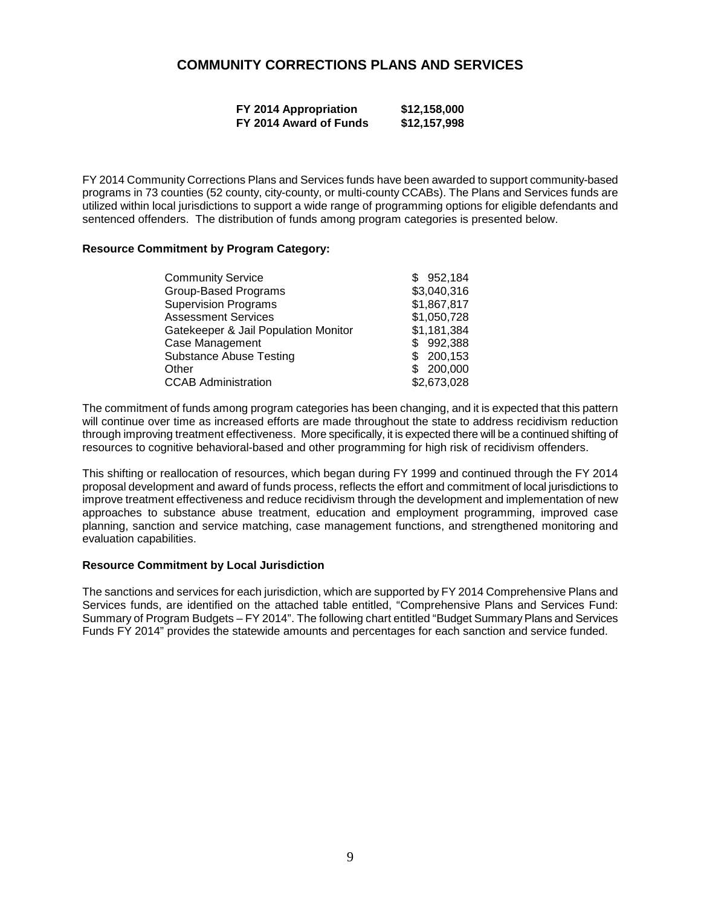### **COMMUNITY CORRECTIONS PLANS AND SERVICES**

| FY 2014 Appropriation  | \$12,158,000 |
|------------------------|--------------|
| FY 2014 Award of Funds | \$12,157,998 |

FY 2014 Community Corrections Plans and Services funds have been awarded to support community-based programs in 73 counties (52 county, city-county, or multi-county CCABs). The Plans and Services funds are utilized within local jurisdictions to support a wide range of programming options for eligible defendants and sentenced offenders. The distribution of funds among program categories is presented below.

#### **Resource Commitment by Program Category:**

| <b>Community Service</b>             | \$952,184   |
|--------------------------------------|-------------|
| <b>Group-Based Programs</b>          | \$3,040,316 |
| <b>Supervision Programs</b>          | \$1,867,817 |
| <b>Assessment Services</b>           | \$1,050,728 |
| Gatekeeper & Jail Population Monitor | \$1,181,384 |
| Case Management                      | \$992,388   |
| <b>Substance Abuse Testing</b>       | 200,153     |
| Other                                | 200,000     |
| <b>CCAB Administration</b>           | \$2,673,028 |

The commitment of funds among program categories has been changing, and it is expected that this pattern will continue over time as increased efforts are made throughout the state to address recidivism reduction through improving treatment effectiveness. More specifically, it is expected there will be a continued shifting of resources to cognitive behavioral-based and other programming for high risk of recidivism offenders.

This shifting or reallocation of resources, which began during FY 1999 and continued through the FY 2014 proposal development and award of funds process, reflects the effort and commitment of local jurisdictions to improve treatment effectiveness and reduce recidivism through the development and implementation of new approaches to substance abuse treatment, education and employment programming, improved case planning, sanction and service matching, case management functions, and strengthened monitoring and evaluation capabilities.

#### **Resource Commitment by Local Jurisdiction**

The sanctions and services for each jurisdiction, which are supported by FY 2014 Comprehensive Plans and Services funds, are identified on the attached table entitled, "Comprehensive Plans and Services Fund: Summary of Program Budgets – FY 2014". The following chart entitled "Budget Summary Plans and Services Funds FY 2014" provides the statewide amounts and percentages for each sanction and service funded.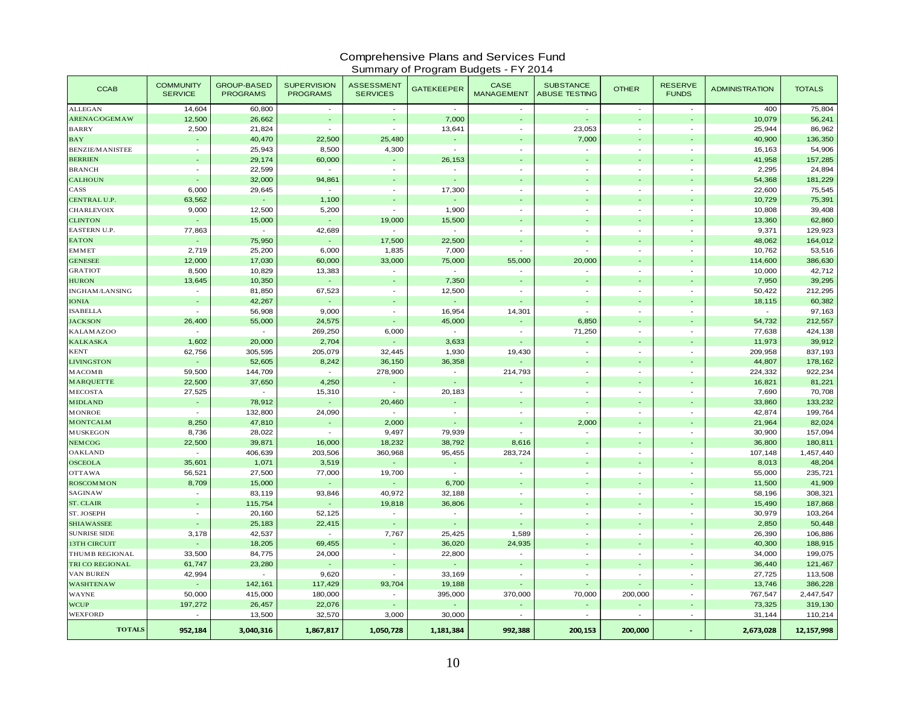# Comprehensive Plans and Services Fund Summary of Program Budgets - FY 2014

| <b>CCAB</b>            | <b>COMMUNITY</b><br><b>SERVICE</b> | <b>GROUP-BASED</b><br><b>PROGRAMS</b> | <b>SUPERVISION</b><br><b>PROGRAMS</b> | <b>ASSESSMENT</b><br><b>SERVICES</b> | <b>GATEKEEPER</b> | <b>CASE</b><br><b>MANAGEMENT</b> | <b>SUBSTANCE</b><br><b>ABUSE TESTING</b> | <b>OTHER</b>             | <b>RESERVE</b><br><b>FUNDS</b> | <b>ADMINISTRATION</b> | <b>TOTALS</b> |
|------------------------|------------------------------------|---------------------------------------|---------------------------------------|--------------------------------------|-------------------|----------------------------------|------------------------------------------|--------------------------|--------------------------------|-----------------------|---------------|
| <b>ALLEGAN</b>         | 14,604                             | 60,800                                | $\sim$                                | $\sim$                               | $\sim$            | $\sim$                           | $\mathbf{r}$                             | $\sim$                   | $\sim$                         | 400                   | 75,804        |
| <b>ARENAC/OGEMAW</b>   | 12,500                             | 26,662                                | $\omega$                              |                                      | 7,000             |                                  | $\omega$                                 |                          |                                | 10,079                | 56,241        |
| <b>BARRY</b>           | 2,500                              | 21,824                                | $\blacksquare$                        | $\sim$                               | 13,641            | $\blacksquare$                   | 23,053                                   |                          | $\sim$                         | 25,944                | 86,962        |
| $_{\rm BAY}$           |                                    | 40,470                                | 22,500                                | 25,480                               | Ξ                 |                                  | 7,000                                    |                          | $\overline{\phantom{a}}$       | 40,900                | 136,350       |
| <b>BENZIE/MANISTEE</b> | $\sim$                             | 25,943                                | 8,500                                 | 4,300                                | $\sim$            | $\overline{a}$                   | $\overline{\phantom{a}}$                 |                          | $\overline{a}$                 | 16,163                | 54,906        |
| <b>BERRIEN</b>         |                                    | 29,174                                | 60,000                                |                                      | 26,153            |                                  | $\omega$                                 |                          |                                | 41,958                | 157,285       |
| <b>BRANCH</b>          | $\sim$                             | 22,599                                | $\sim$                                | $\overline{\phantom{a}}$             | $\sim$            | $\overline{\phantom{a}}$         | $\overline{\phantom{a}}$                 | $\sim$                   | $\sim$                         | 2,295                 | 24,894        |
| <b>CALHOUN</b>         |                                    | 32,000                                | 94,861                                |                                      |                   |                                  |                                          |                          |                                | 54,368                | 181,229       |
| CASS                   | 6,000                              | 29,645                                | $\sim$                                | $\omega$                             | 17,300            | $\overline{\phantom{a}}$         | $\sim$                                   |                          | $\sim$                         | 22,600                | 75,545        |
| CENTRAL U.P.           | 63,562                             | $\Box$                                | 1,100                                 |                                      | $\sim$            |                                  | $\blacksquare$                           |                          | $\overline{\phantom{a}}$       | 10,729                | 75,391        |
| <b>CHARLEVOIX</b>      | 9,000                              | 12,500                                | 5,200                                 |                                      | 1,900             |                                  | $\blacksquare$                           |                          | $\sim$                         | 10,808                | 39,408        |
| <b>CLINTON</b>         |                                    | 15,000                                | $\Box$                                | 19,000                               | 15,500            |                                  | $\omega$                                 |                          | ÷.                             | 13,360                | 62,860        |
| <b>EASTERN U.P.</b>    | 77,863                             | $\sim$                                | 42,689                                | $\sim$                               | $\sim$            | $\sim$                           | $\mathbf{r}$                             | $\sim$                   | $\sim$                         | 9,371                 | 129,923       |
| <b>EATON</b>           |                                    | 75,950                                | $\blacksquare$                        | 17,500                               | 22,500            |                                  | $\overline{a}$                           |                          |                                | 48,062                | 164,012       |
| <b>EMMET</b>           | 2,719                              | 25,200                                | 6,000                                 | 1,835                                | 7,000             | $\overline{\phantom{a}}$         | $\overline{\phantom{a}}$                 |                          | $\sim$                         | 10,762                | 53,516        |
| <b>GENESEE</b>         | 12,000                             | 17,030                                | 60,000                                | 33,000                               | 75,000            | 55,000                           | 20,000                                   |                          |                                | 114,600               | 386,630       |
| <b>GRATIOT</b>         | 8,500                              | 10,829                                | 13,383                                | $\overline{\phantom{a}}$             | $\sim$            | $\overline{\phantom{a}}$         | $\sim$                                   | $\sim$                   | $\sim$                         | 10,000                | 42,712        |
| <b>HURON</b>           | 13,645                             | 10,350                                | $\omega$                              |                                      | 7,350             |                                  | $\Box$                                   |                          | ÷.                             | 7,950                 | 39,295        |
| <b>INGHAM/LANSING</b>  | $\sim$                             | 81,850                                | 67,523                                | ä,                                   | 12,500            | $\sim$                           | ÷,                                       |                          | $\sim$                         | 50,422                | 212,295       |
| <b>IONIA</b>           | $\sim$                             | 42,267                                | ÷,                                    |                                      |                   |                                  | $\overline{\phantom{a}}$                 |                          | $\overline{\phantom{a}}$       | 18,115                | 60,382        |
| <b>ISABELLA</b>        | ÷.                                 | 56,908                                | 9,000                                 | $\blacksquare$                       | 16,954            | 14,301                           | $\sim$                                   |                          | $\sim$                         | $\sim$                | 97,163        |
| <b>JACKSON</b>         | 26,400                             | 55,000                                | 24,575                                |                                      | 45,000            |                                  | 6,850                                    |                          |                                | 54,732                | 212,557       |
| <b>KALAMAZOO</b>       | $\sim$                             | $\sim$                                | 269,250                               | 6,000                                | $\sim$            | $\overline{\phantom{a}}$         | 71,250                                   | $\sim$                   | $\sim$                         | 77,638                | 424,138       |
| <b>KALKASKA</b>        | 1,602                              | 20,000                                | 2,704                                 |                                      | 3,633             |                                  | ÷                                        |                          | $\sim$                         | 11,973                | 39,912        |
| <b>KENT</b>            | 62,756                             | 305,595                               | 205,079                               | 32,445                               | 1,930             | 19,430                           | $\sim$                                   | $\overline{\phantom{a}}$ | $\sim$                         | 209,958               | 837,193       |
| <b>LIVINGSTON</b>      |                                    | 52,605                                | 8,242                                 | 36,150                               | 36,358            | ÷.                               | $\blacksquare$                           |                          | ÷.                             | 44,807                | 178,162       |
| MACOMB                 | 59,500                             | 144,709                               | $\sim$                                | 278,900                              | $\sim$            | 214,793                          | $\sim$                                   |                          | $\sim$                         | 224,332               | 922,234       |
| <b>MARQUETTE</b>       | 22,500                             | 37,650                                | 4,250                                 | $\omega$                             |                   |                                  | $\blacksquare$                           |                          |                                | 16,821                | 81,221        |
| <b>MECOSTA</b>         | 27,525                             | $\sim$                                | 15,310                                | $\sim$                               | 20,183            | $\sim$                           | $\blacksquare$                           |                          | $\sim$                         | 7,690                 | 70,708        |
| <b>MIDLAND</b>         |                                    | 78,912                                | Ξ                                     | 20,460                               |                   |                                  | $\overline{\phantom{a}}$                 |                          | $\overline{\phantom{a}}$       | 33,860                | 133,232       |
| <b>MONROE</b>          | $\sim$                             | 132,800                               | 24,090                                | $\sim$                               | ÷                 | $\overline{a}$                   | $\sim$                                   |                          | $\sim$                         | 42,874                | 199,764       |
| <b>MONTCALM</b>        | 8,250                              | 47,810                                | $\omega$                              | 2,000                                |                   |                                  | 2,000                                    |                          |                                | 21,964                | 82,024        |
| <b>MUSKEGON</b>        | 8,736                              | 28,022                                | $\sim$                                | 9,497                                | 79,939            | $\sim$                           | $\sim$                                   | $\sim$                   | $\sim$                         | 30,900                | 157,094       |
| NEMCOG                 | 22,500                             | 39,871                                | 16,000                                | 18,232                               | 38,792            | 8,616                            |                                          |                          |                                | 36,800                | 180,811       |
| <b>OAKLAND</b>         | $\sim$                             | 406,639                               | 203,506                               | 360,968                              | 95,455            | 283,724                          | $\sim$                                   |                          | $\sim$                         | 107,148               | 1,457,440     |
| <b>OSCEOLA</b>         | 35,601                             | 1,071                                 | 3,519                                 |                                      | $\blacksquare$    |                                  | $\overline{\phantom{a}}$                 | $\sim$                   | $\sim$                         | 8,013                 | 48,204        |
| <b>OTTAWA</b>          | 56,521                             | 27,500                                | 77,000                                | 19,700                               | $\sim$            | $\sim$                           | $\sim$                                   |                          | $\sim$                         | 55,000                | 235,721       |
| <b>ROSCOMMON</b>       | 8,709                              | 15,000                                | ä,                                    | ä,                                   | 6,700             |                                  | $\omega$                                 |                          |                                | 11,500                | 41,909        |
| SAGINAW                | ÷.                                 | 83,119                                | 93,846                                | 40,972                               | 32,188            | $\sim$                           | $\sim$                                   | $\sim$                   | $\sim$                         | 58,196                | 308,321       |
| ST. CLAIR              | ÷                                  | 115,754                               | $\sim$                                | 19,818                               | 36,806            |                                  | ÷,                                       |                          |                                | 15,490                | 187,868       |
| ST. JOSEPH             | ÷.                                 | 20,160                                | 52,125                                | $\sim$                               | ÷                 | $\overline{a}$                   | $\mathbf{r}$                             |                          | $\sim$                         | 30,979                | 103,264       |
| <b>SHIAWASSEE</b>      |                                    | 25,183                                | 22,415                                |                                      |                   |                                  | $\omega$                                 |                          |                                | 2,850                 | 50,448        |
| <b>SUNRISE SIDE</b>    | 3,178                              | 42,537                                | $\sim$                                | 7,767                                | 25,425            | 1,589                            | $\sim$                                   | $\sim$                   | $\sim$                         | 26,390                | 106,886       |
| <b>13TH CIRCUIT</b>    |                                    | 18,205                                | 69,455                                |                                      | 36,020            | 24,935                           | ä,                                       |                          |                                | 40,300                | 188,915       |
| THUMB REGIONAL         | 33,500                             | 84,775                                | 24,000                                | ä,                                   | 22,800            | $\sim$                           | ÷,                                       |                          | $\sim$                         | 34,000                | 199,075       |
| TRI CO REGIONAL        | 61,747                             | 23,280                                | $\omega$                              |                                      |                   |                                  | $\overline{\phantom{a}}$                 |                          | $\sim$                         | 36,440                | 121,467       |
| <b>VAN BUREN</b>       | 42,994                             | $\sim$                                | 9,620                                 | $\blacksquare$                       | 33,169            |                                  | $\blacksquare$                           |                          | $\sim$                         | 27,725                | 113,508       |
| <b>WASHTENAW</b>       |                                    | 142,161                               | 117,429                               | 93,704                               | 19,188            |                                  | L.                                       |                          |                                | 13,746                | 386,228       |
| <b>WAYNE</b>           | 50,000                             | 415,000                               | 180,000                               | $\sim$                               | 395,000           | 370,000                          | 70,000                                   | 200,000                  | $\sim$                         | 767,547               | 2,447,547     |
| <b>WCUP</b>            | 197,272                            | 26,457                                | 22,076                                |                                      |                   |                                  | $\overline{\phantom{a}}$                 |                          | $\overline{\phantom{a}}$       | 73,325                | 319,130       |
| <b>WEXFORD</b>         |                                    | 13,500                                | 32,570                                | 3,000                                | 30,000            |                                  | $\overline{a}$                           |                          | $\sim$                         | 31,144                | 110,214       |
| <b>TOTALS</b>          | 952,184                            | 3,040,316                             | 1,867,817                             | 1,050,728                            | 1,181,384         | 992,388                          | 200,153                                  | 200,000                  |                                | 2,673,028             | 12, 157, 998  |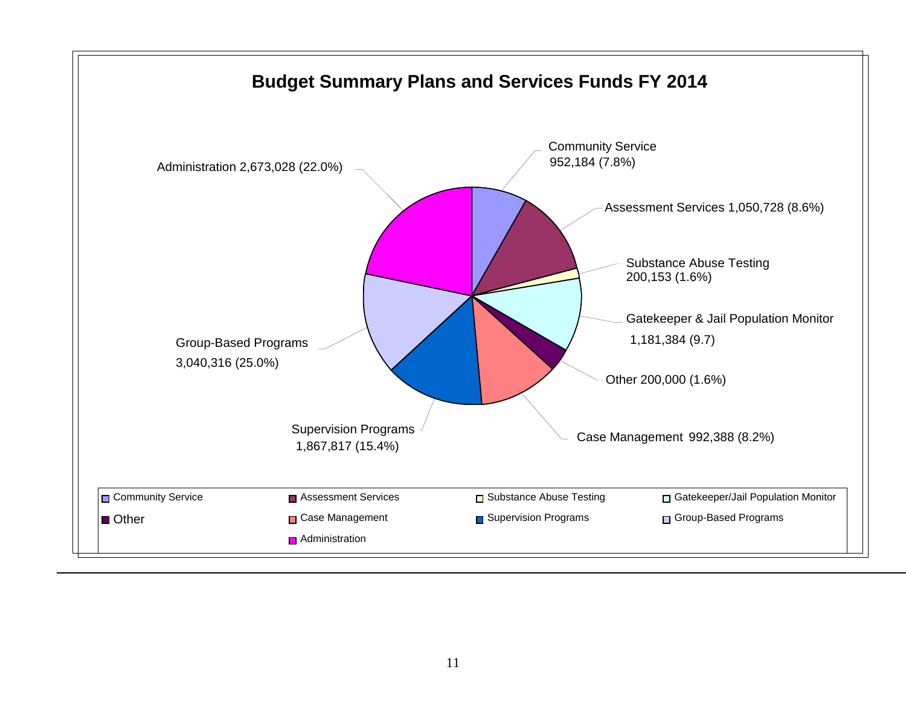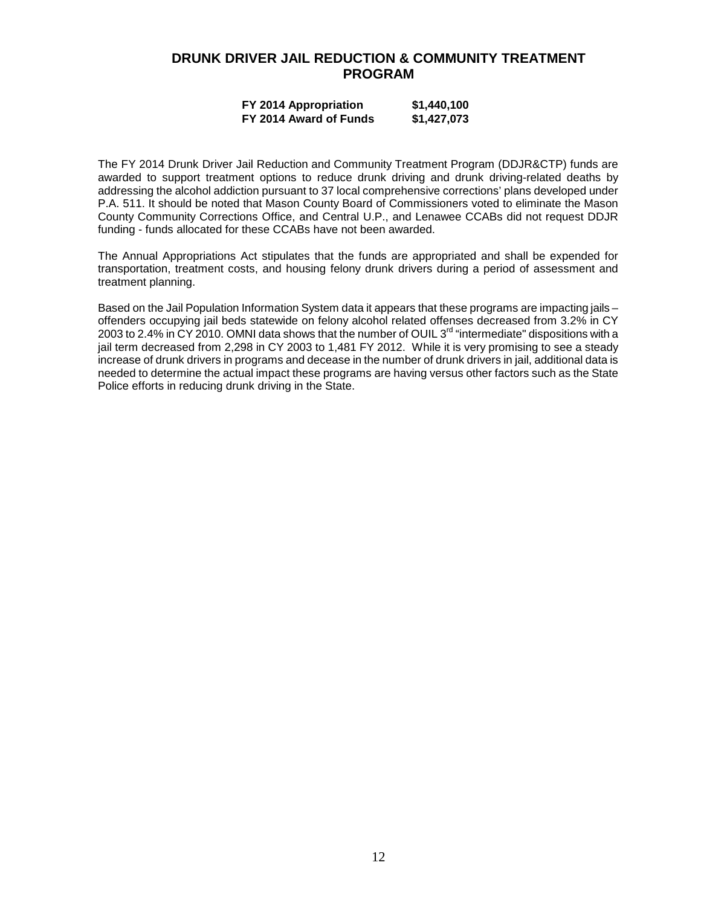### **DRUNK DRIVER JAIL REDUCTION & COMMUNITY TREATMENT PROGRAM**

#### **FY 2014 Appropriation \$1,440,100 FY 2014 Award of Funds \$1,427,073**

The FY 2014 Drunk Driver Jail Reduction and Community Treatment Program (DDJR&CTP) funds are awarded to support treatment options to reduce drunk driving and drunk driving-related deaths by addressing the alcohol addiction pursuant to 37 local comprehensive corrections' plans developed under P.A. 511. It should be noted that Mason County Board of Commissioners voted to eliminate the Mason County Community Corrections Office, and Central U.P., and Lenawee CCABs did not request DDJR funding - funds allocated for these CCABs have not been awarded.

The Annual Appropriations Act stipulates that the funds are appropriated and shall be expended for transportation, treatment costs, and housing felony drunk drivers during a period of assessment and treatment planning.

Based on the Jail Population Information System data it appears that these programs are impacting jails – offenders occupying jail beds statewide on felony alcohol related offenses decreased from 3.2% in CY 2003 to 2.4% in CY 2010. OMNI data shows that the number of OUIL 3<sup>rd</sup> "intermediate" dispositions with a jail term decreased from 2,298 in CY 2003 to 1,481 FY 2012. While it is very promising to see a steady increase of drunk drivers in programs and decease in the number of drunk drivers in jail, additional data is needed to determine the actual impact these programs are having versus other factors such as the State Police efforts in reducing drunk driving in the State.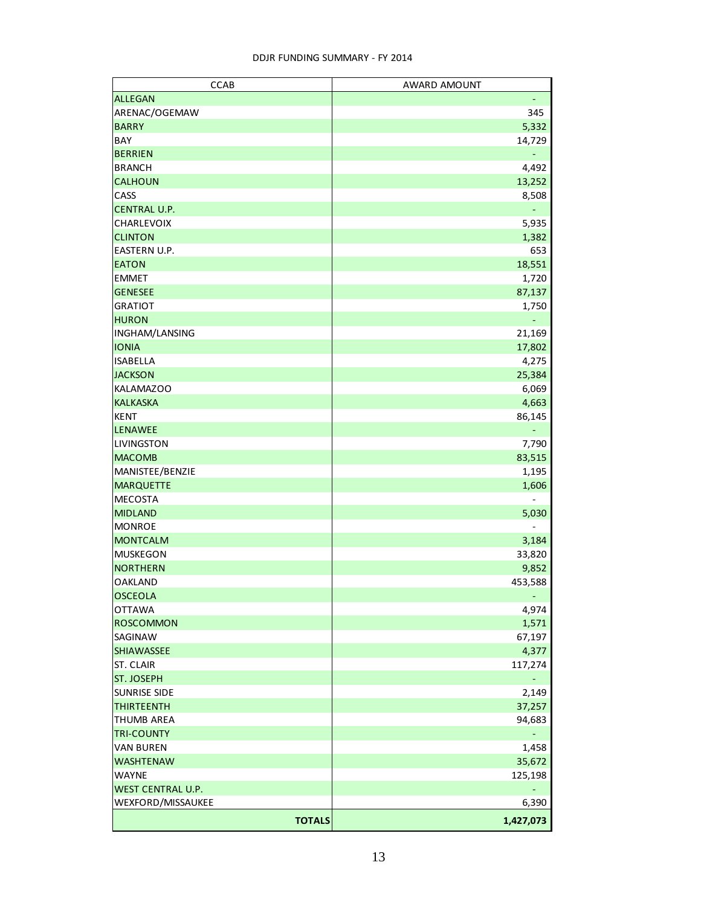| <b>CCAB</b>         | AWARD AMOUNT    |
|---------------------|-----------------|
| <b>ALLEGAN</b>      |                 |
| ARENAC/OGEMAW       | 345             |
| <b>BARRY</b>        | 5,332           |
| BAY                 | 14,729          |
| <b>BERRIEN</b>      | ۳               |
| <b>BRANCH</b>       | 4,492           |
| <b>CALHOUN</b>      | 13,252          |
| CASS                | 8,508           |
| <b>CENTRAL U.P.</b> | ÷               |
| CHARLEVOIX          | 5,935           |
| <b>CLINTON</b>      | 1,382           |
| EASTERN U.P.        | 653             |
| <b>EATON</b>        | 18,551          |
| <b>EMMET</b>        | 1,720           |
| <b>GENESEE</b>      | 87,137          |
| <b>GRATIOT</b>      | 1,750           |
| <b>HURON</b>        |                 |
| INGHAM/LANSING      | 21,169          |
| <b>IONIA</b>        | 17,802          |
| <b>ISABELLA</b>     | 4,275           |
| <b>JACKSON</b>      | 25,384          |
| <b>KALAMAZOO</b>    | 6,069           |
| <b>KALKASKA</b>     | 4,663           |
| <b>KENT</b>         | 86,145          |
| <b>LENAWEE</b>      |                 |
| <b>LIVINGSTON</b>   | 7,790           |
| <b>MACOMB</b>       | 83,515          |
| MANISTEE/BENZIE     | 1,195           |
| <b>MARQUETTE</b>    | 1,606           |
| <b>MECOSTA</b>      |                 |
| <b>MIDLAND</b>      |                 |
| <b>MONROE</b>       | 5,030           |
| <b>MONTCALM</b>     |                 |
| <b>MUSKEGON</b>     | 3,184           |
| <b>NORTHERN</b>     | 33,820<br>9,852 |
|                     |                 |
| <b>OAKLAND</b>      | 453,588         |
| <b>OSCEOLA</b>      | $\blacksquare$  |
| <b>OTTAWA</b>       | 4,974           |
| <b>ROSCOMMON</b>    | 1,571           |
| SAGINAW             | 67,197          |
| <b>SHIAWASSEE</b>   | 4,377           |
| <b>ST. CLAIR</b>    | 117,274         |
| ST. JOSEPH          |                 |
| <b>SUNRISE SIDE</b> | 2,149           |
| <b>THIRTEENTH</b>   | 37,257          |
| <b>THUMB AREA</b>   | 94,683          |
| <b>TRI-COUNTY</b>   |                 |
| <b>VAN BUREN</b>    | 1,458           |
| <b>WASHTENAW</b>    | 35,672          |
| <b>WAYNE</b>        | 125,198         |
| WEST CENTRAL U.P.   |                 |
| WEXFORD/MISSAUKEE   | 6,390           |
| <b>TOTALS</b>       | 1,427,073       |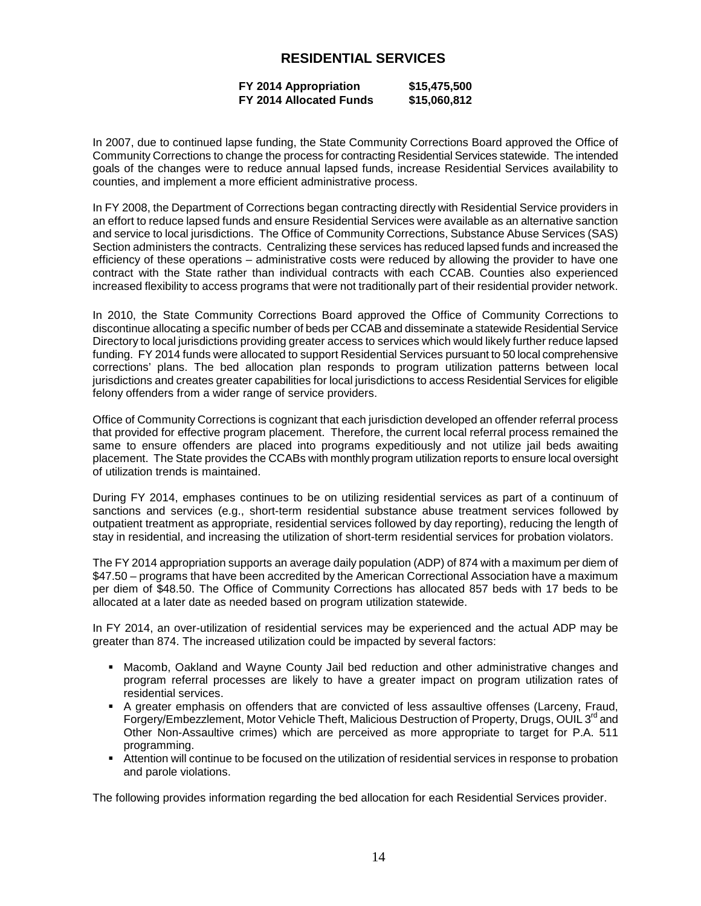### **RESIDENTIAL SERVICES**

#### **FY 2014 Appropriation \$15,475,500 FY 2014 Allocated Funds \$15,060,812**

In 2007, due to continued lapse funding, the State Community Corrections Board approved the Office of Community Corrections to change the process for contracting Residential Services statewide. The intended goals of the changes were to reduce annual lapsed funds, increase Residential Services availability to counties, and implement a more efficient administrative process.

In FY 2008, the Department of Corrections began contracting directly with Residential Service providers in an effort to reduce lapsed funds and ensure Residential Services were available as an alternative sanction and service to local jurisdictions. The Office of Community Corrections, Substance Abuse Services (SAS) Section administers the contracts. Centralizing these services has reduced lapsed funds and increased the efficiency of these operations – administrative costs were reduced by allowing the provider to have one contract with the State rather than individual contracts with each CCAB. Counties also experienced increased flexibility to access programs that were not traditionally part of their residential provider network.

In 2010, the State Community Corrections Board approved the Office of Community Corrections to discontinue allocating a specific number of beds per CCAB and disseminate a statewide Residential Service Directory to local jurisdictions providing greater access to services which would likely further reduce lapsed funding. FY 2014 funds were allocated to support Residential Services pursuant to 50 local comprehensive corrections' plans. The bed allocation plan responds to program utilization patterns between local jurisdictions and creates greater capabilities for local jurisdictions to access Residential Services for eligible felony offenders from a wider range of service providers.

Office of Community Corrections is cognizant that each jurisdiction developed an offender referral process that provided for effective program placement. Therefore, the current local referral process remained the same to ensure offenders are placed into programs expeditiously and not utilize jail beds awaiting placement. The State provides the CCABs with monthly program utilization reports to ensure local oversight of utilization trends is maintained.

During FY 2014, emphases continues to be on utilizing residential services as part of a continuum of sanctions and services (e.g., short-term residential substance abuse treatment services followed by outpatient treatment as appropriate, residential services followed by day reporting), reducing the length of stay in residential, and increasing the utilization of short-term residential services for probation violators.

The FY 2014 appropriation supports an average daily population (ADP) of 874 with a maximum per diem of \$47.50 – programs that have been accredited by the American Correctional Association have a maximum per diem of \$48.50. The Office of Community Corrections has allocated 857 beds with 17 beds to be allocated at a later date as needed based on program utilization statewide.

In FY 2014, an over-utilization of residential services may be experienced and the actual ADP may be greater than 874. The increased utilization could be impacted by several factors:

- Macomb, Oakland and Wayne County Jail bed reduction and other administrative changes and program referral processes are likely to have a greater impact on program utilization rates of residential services.
- A greater emphasis on offenders that are convicted of less assaultive offenses (Larceny, Fraud, Forgery/Embezzlement, Motor Vehicle Theft, Malicious Destruction of Property, Drugs, OUIL 3<sup>rd</sup> and Other Non-Assaultive crimes) which are perceived as more appropriate to target for P.A. 511 programming.
- Attention will continue to be focused on the utilization of residential services in response to probation and parole violations.

The following provides information regarding the bed allocation for each Residential Services provider.